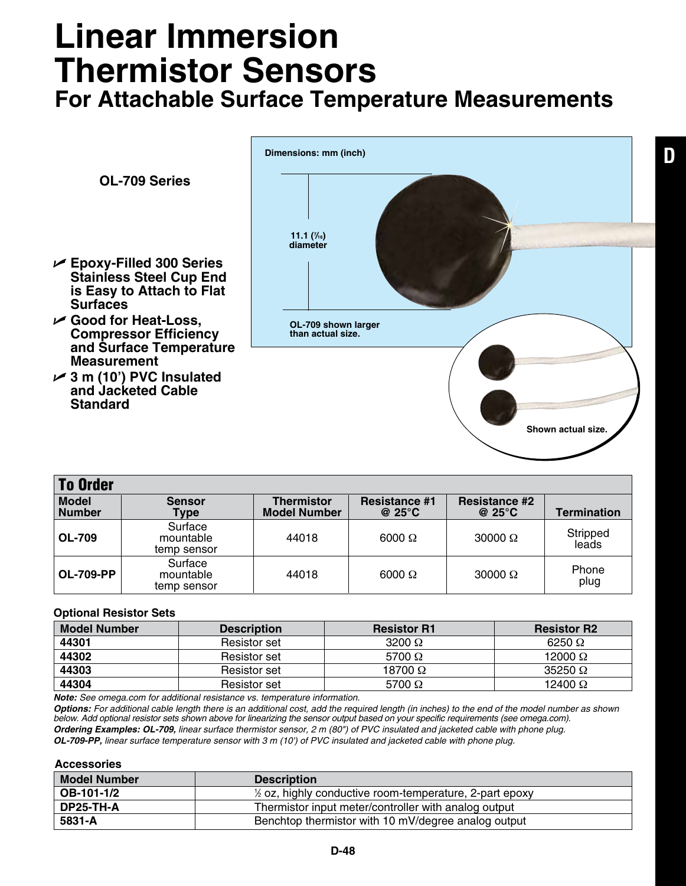## **Linear Immersion Thermistor Sensors**

**For Attachable Surface Temperature Measurements**

**D**



| <b>To Order</b>               |                                     |                                          |                                          |                                          |                    |  |  |
|-------------------------------|-------------------------------------|------------------------------------------|------------------------------------------|------------------------------------------|--------------------|--|--|
| <b>Model</b><br><b>Number</b> | <b>Sensor</b><br>Type               | <b>Thermistor</b><br><b>Model Number</b> | <b>Resistance #1</b><br>@ 25 $\degree$ C | <b>Resistance #2</b><br>@ 25 $\degree$ C | <b>Termination</b> |  |  |
| <b>OL-709</b>                 | Surface<br>mountable<br>temp sensor | 44018                                    | $6000 \Omega$                            | 30000 $\Omega$                           | Stripped<br>leads  |  |  |
| <b>OL-709-PP</b>              | Surface<br>mountable<br>temp sensor | 44018                                    | $6000 \Omega$                            | 30000 $\Omega$                           | Phone<br>plug      |  |  |

## **Optional Resistor Sets**

| <b>Model Number</b> | <b>Description</b>  | <b>Resistor R1</b> | <b>Resistor R2</b> |
|---------------------|---------------------|--------------------|--------------------|
| 44301               | <b>Resistor set</b> | 3200 $\Omega$      | 6250 $\Omega$      |
| 44302               | <b>Resistor set</b> | 5700 $\Omega$      | 12000 $\Omega$     |
| 44303               | <b>Resistor set</b> | 18700 $\Omega$     | $35250 \Omega$     |
| 44304               | <b>Resistor set</b> | 5700 $\Omega$      | 12400 $\Omega$     |

*Note: See omega.com for additional resistance vs. temperature information.*

*Options: For additional cable length there is an additional cost, add the required length (in inches) to the end of the model number as shown below. Add optional resistor sets shown above for linearizing the sensor output based on your specific requirements (see omega.com). Ordering Examples: OL-709, linear surface thermistor sensor, 2 m (80") of PVC insulated and jacketed cable with phone plug. OL-709-PP, linear surface temperature sensor with 3 m (10') of PVC insulated and jacketed cable with phone plug.*

## **Accessories**

| <b>Model Number</b> | <b>Description</b>                                                 |
|---------------------|--------------------------------------------------------------------|
| OB-101-1/2          | $\frac{1}{2}$ oz, highly conductive room-temperature, 2-part epoxy |
| DP25-TH-A           | Thermistor input meter/controller with analog output               |
| 5831-A              | Benchtop thermistor with 10 mV/degree analog output                |